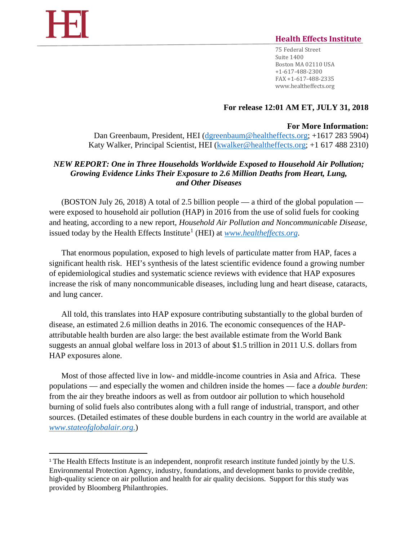$\overline{a}$ 

# **Health Effects Institute**

75 Federal Street Suite 1400 Boston MA 02110 USA +1-617-488-2300 FAX +1-617-488-2335 www.healtheffects.org

### **For release 12:01 AM ET, JULY 31, 2018**

#### **For More Information:**

Dan Greenbaum, President, HEI [\(dgreenbaum@healtheffects.org;](mailto:dgreenbaum@healtheffects.org) +1617 283 5904) Katy Walker, Principal Scientist, HEI [\(kwalker@healtheffects.org;](mailto:kwalker@healtheffects.org) +1 617 488 2310)

## *NEW REPORT: One in Three Households Worldwide Exposed to Household Air Pollution; Growing Evidence Links Their Exposure to 2.6 Million Deaths from Heart, Lung, and Other Diseases*

(BOSTON July 26, 2018) A total of 2.5 billion people — a third of the global population were exposed to household air pollution (HAP) in 2016 from the use of solid fuels for cooking and heating, according to a new report, *Household Air Pollution and Noncommunicable Disease,* issued today by the Health Effects Institute<sup>[1](#page-0-0)</sup> (HEI) at  $www. health effects.org.$ 

That enormous population, exposed to high levels of particulate matter from HAP, faces a significant health risk. HEI's synthesis of the latest scientific evidence found a growing number of epidemiological studies and systematic science reviews with evidence that HAP exposures increase the risk of many noncommunicable diseases, including lung and heart disease, cataracts, and lung cancer.

All told, this translates into HAP exposure contributing substantially to the global burden of disease, an estimated 2.6 million deaths in 2016. The economic consequences of the HAPattributable health burden are also large: the best available estimate from the World Bank suggests an annual global welfare loss in 2013 of about \$1.5 trillion in 2011 U.S. dollars from HAP exposures alone.

Most of those affected live in low- and middle-income countries in Asia and Africa. These populations — and especially the women and children inside the homes — face a *double burden*: from the air they breathe indoors as well as from outdoor air pollution to which household burning of solid fuels also contributes along with a full range of industrial, transport, and other sources. (Detailed estimates of these double burdens in each country in the world are available at *[www.stateofglobalair.org.](http://www.stateofglobalair.org/)*)

<span id="page-0-0"></span><sup>&</sup>lt;sup>1</sup> The Health Effects Institute is an independent, nonprofit research institute funded jointly by the U.S. Environmental Protection Agency, industry, foundations, and development banks to provide credible, high-quality science on air pollution and health for air quality decisions. Support for this study was provided by Bloomberg Philanthropies.